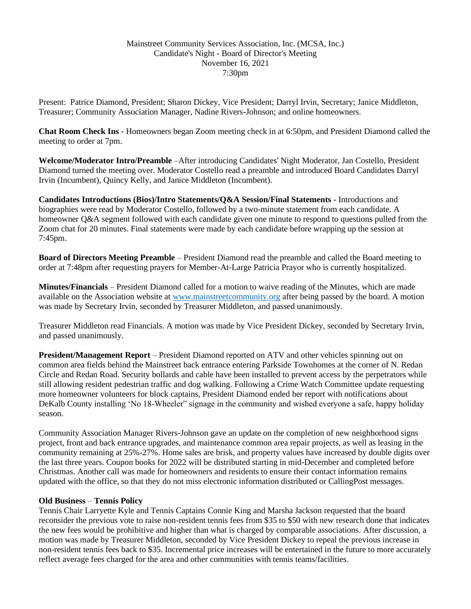## Mainstreet Community Services Association, Inc. (MCSA, Inc.) Candidate's Night - Board of Director's Meeting November 16, 2021 7:30pm

Present: Patrice Diamond, President; Sharon Dickey, Vice President; Darryl Irvin, Secretary; Janice Middleton, Treasurer; Community Association Manager, Nadine Rivers-Johnson; and online homeowners.

**Chat Room Check Ins** - Homeowners began Zoom meeting check in at 6:50pm, and President Diamond called the meeting to order at 7pm.

**Welcome/Moderator Intro/Preamble** –After introducing Candidates' Night Moderator, Jan Costello, President Diamond turned the meeting over. Moderator Costello read a preamble and introduced Board Candidates Darryl Irvin (Incumbent), Quincy Kelly, and Janice Middleton (Incumbent).

**Candidates Introductions (Bios)/Intro Statements/Q&A Session/Final Statements** - Introductions and biographies were read by Moderator Costello, followed by a two-minute statement from each candidate. A homeowner Q&A segment followed with each candidate given one minute to respond to questions pulled from the Zoom chat for 20 minutes. Final statements were made by each candidate before wrapping up the session at 7:45pm.

**Board of Directors Meeting Preamble** – President Diamond read the preamble and called the Board meeting to order at 7:48pm after requesting prayers for Member-At-Large Patricia Prayor who is currently hospitalized.

**Minutes/Financials** – President Diamond called for a motion to waive reading of the Minutes, which are made available on the Association website at [www.mainstreetcommunity.org](http://www.mainstreetcommunity.org/) after being passed by the board. A motion was made by Secretary Irvin, seconded by Treasurer Middleton, and passed unanimously.

Treasurer Middleton read Financials. A motion was made by Vice President Dickey, seconded by Secretary Irvin, and passed unanimously.

**President/Management Report** – President Diamond reported on ATV and other vehicles spinning out on common area fields behind the Mainstreet back entrance entering Parkside Townhomes at the corner of N. Redan Circle and Redan Road. Security bollards and cable have been installed to prevent access by the perpetrators while still allowing resident pedestrian traffic and dog walking. Following a Crime Watch Committee update requesting more homeowner volunteers for block captains, President Diamond ended her report with notifications about DeKalb County installing 'No 18-Wheeler" signage in the community and wished everyone a safe, happy holiday season.

Community Association Manager Rivers-Johnson gave an update on the completion of new neighborhood signs project, front and back entrance upgrades, and maintenance common area repair projects, as well as leasing in the community remaining at 25%-27%. Home sales are brisk, and property values have increased by double digits over the last three years. Coupon books for 2022 will be distributed starting in mid-December and completed before Christmas. Another call was made for homeowners and residents to ensure their contact information remains updated with the office, so that they do not miss electronic information distributed or CallingPost messages.

## **Old Business** – **Tennis Policy**

Tennis Chair Larryette Kyle and Tennis Captains Connie King and Marsha Jackson requested that the board reconsider the previous vote to raise non-resident tennis fees from \$35 to \$50 with new research done that indicates the new fees would be prohibitive and higher than what is charged by comparable associations. After discussion, a motion was made by Treasurer Middleton, seconded by Vice President Dickey to repeal the previous increase in non-resident tennis fees back to \$35. Incremental price increases will be entertained in the future to more accurately reflect average fees charged for the area and other communities with tennis teams/facilities.